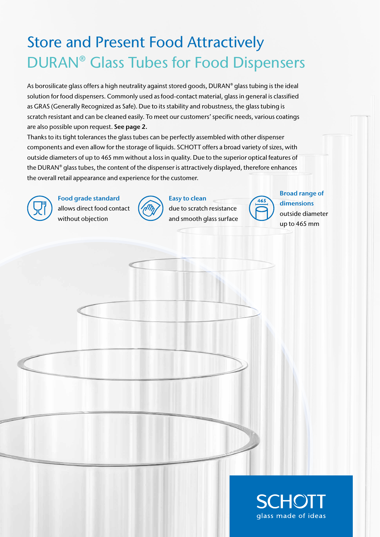## Store and Present Food Attractively DURAN® Glass Tubes for Food Dispensers

As borosilicate glass offers a high neutrality against stored goods, DURAN® glass tubing is the ideal solution for food dispensers. Commonly used as food-contact material, glass in general is classified as GRAS (Generally Recognized as Safe). Due to its stability and robustness, the glass tubing is scratch resistant and can be cleaned easily. To meet our customers' specific needs, various coatings are also possible upon request. See page 2.

Thanks to its tight tolerances the glass tubes can be perfectly assembled with other dispenser components and even allow for the storage of liquids. SCHOTT offers a broad variety of sizes, with outside diameters of up to 465 mm without a loss in quality. Due to the superior optical features of the DURAN® glass tubes, the content of the dispenser is attractively displayed, therefore enhances the overall retail appearance and experience for the customer.



Food grade standard allows direct food contact without objection



Easy to clean due to scratch resistance and smooth glass surface



Broad range of dimensions outside diameter up to 465 mm